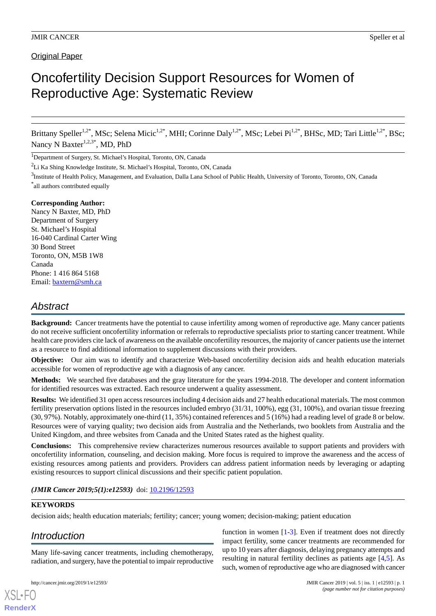**Original Paper** 

# Oncofertility Decision Support Resources for Women of Reproductive Age: Systematic Review

Brittany Speller<sup>1,2\*</sup>, MSc; Selena Micic<sup>1,2\*</sup>, MHI; Corinne Daly<sup>1,2\*</sup>, MSc; Lebei Pi<sup>1,2\*</sup>, BHSc, MD; Tari Little<sup>1,2\*</sup>, BSc; Nancy N Baxter<sup>1,2,3\*</sup>, MD, PhD

<sup>1</sup>Department of Surgery, St. Michael's Hospital, Toronto, ON, Canada

<sup>2</sup>Li Ka Shing Knowledge Institute, St. Michael's Hospital, Toronto, ON, Canada

<sup>3</sup>Institute of Health Policy, Management, and Evaluation, Dalla Lana School of Public Health, University of Toronto, Toronto, ON, Canada \* all authors contributed equally

### **Corresponding Author:**

Nancy N Baxter, MD, PhD Department of Surgery St. Michael's Hospital 16-040 Cardinal Carter Wing 30 Bond Street Toronto, ON, M5B 1W8 Canada Phone: 1 416 864 5168 Email: [baxtern@smh.ca](mailto:baxtern@smh.ca)

# *Abstract*

**Background:** Cancer treatments have the potential to cause infertility among women of reproductive age. Many cancer patients do not receive sufficient oncofertility information or referrals to reproductive specialists prior to starting cancer treatment. While health care providers cite lack of awareness on the available oncofertility resources, the majority of cancer patients use the internet as a resource to find additional information to supplement discussions with their providers.

**Objective:** Our aim was to identify and characterize Web-based oncofertility decision aids and health education materials accessible for women of reproductive age with a diagnosis of any cancer.

**Methods:** We searched five databases and the gray literature for the years 1994-2018. The developer and content information for identified resources was extracted. Each resource underwent a quality assessment.

**Results:** We identified 31 open access resources including 4 decision aids and 27 health educational materials. The most common fertility preservation options listed in the resources included embryo (31/31, 100%), egg (31, 100%), and ovarian tissue freezing (30, 97%). Notably, approximately one-third (11, 35%) contained references and 5 (16%) had a reading level of grade 8 or below. Resources were of varying quality; two decision aids from Australia and the Netherlands, two booklets from Australia and the United Kingdom, and three websites from Canada and the United States rated as the highest quality.

**Conclusions:** This comprehensive review characterizes numerous resources available to support patients and providers with oncofertility information, counseling, and decision making. More focus is required to improve the awareness and the access of existing resources among patients and providers. Providers can address patient information needs by leveraging or adapting existing resources to support clinical discussions and their specific patient population.

*(JMIR Cancer 2019;5(1):e12593)* doi: **10.2196/12593** 

# **KEYWORDS**

decision aids; health education materials; fertility; cancer; young women; decision-making; patient education

# *Introduction*

[XSL](http://www.w3.org/Style/XSL)•FO **[RenderX](http://www.renderx.com/)**

Many life-saving cancer treatments, including chemotherapy, radiation, and surgery, have the potential to impair reproductive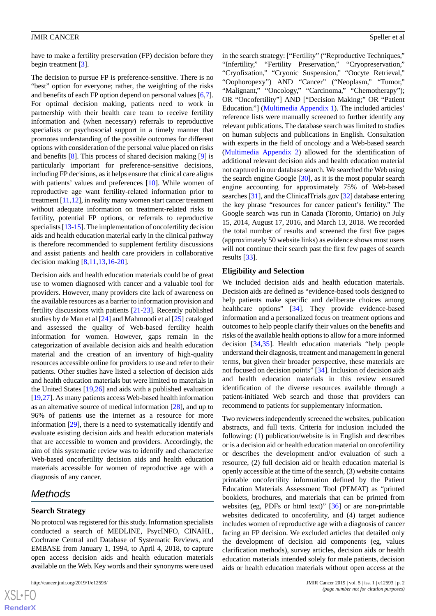have to make a fertility preservation (FP) decision before they begin treatment [[3\]](#page-10-1).

The decision to pursue FP is preference-sensitive. There is no "best" option for everyone; rather, the weighting of the risks and benefits of each FP option depend on personal values [\[6](#page-10-4),[7\]](#page-10-5). For optimal decision making, patients need to work in partnership with their health care team to receive fertility information and (when necessary) referrals to reproductive specialists or psychosocial support in a timely manner that promotes understanding of the possible outcomes for different options with consideration of the personal value placed on risks and benefits [[8\]](#page-10-6). This process of shared decision making [\[9](#page-10-7)] is particularly important for preference-sensitive decisions, including FP decisions, as it helps ensure that clinical care aligns with patients' values and preferences [\[10](#page-10-8)]. While women of reproductive age want fertility-related information prior to treatment  $[11,12]$  $[11,12]$  $[11,12]$ , in reality many women start cancer treatment without adequate information on treatment-related risks to fertility, potential FP options, or referrals to reproductive specialists [[13-](#page-10-11)[15\]](#page-10-12). The implementation of oncofertility decision aids and health education material early in the clinical pathway is therefore recommended to supplement fertility discussions and assist patients and health care providers in collaborative decision making [\[8](#page-10-6),[11,](#page-10-9)[13](#page-10-11),[16-](#page-10-13)[20](#page-11-0)].

Decision aids and health education materials could be of great use to women diagnosed with cancer and a valuable tool for providers. However, many providers cite lack of awareness on the available resources as a barrier to information provision and fertility discussions with patients [\[21](#page-11-1)-[23\]](#page-11-2). Recently published studies by de Man et al [\[24](#page-11-3)] and Mahmoodi et al [[25\]](#page-11-4) cataloged and assessed the quality of Web-based fertility health information for women. However, gaps remain in the categorization of available decision aids and health education material and the creation of an inventory of high-quality resources accessible online for providers to use and refer to their patients. Other studies have listed a selection of decision aids and health education materials but were limited to materials in the United States [\[19](#page-10-14),[26\]](#page-11-5) and aids with a published evaluation [[19,](#page-10-14)[27](#page-11-6)]. As many patients access Web-based health information as an alternative source of medical information [\[28](#page-11-7)], and up to 96% of patients use the internet as a resource for more information [[29\]](#page-11-8), there is a need to systematically identify and evaluate existing decision aids and health education materials that are accessible to women and providers. Accordingly, the aim of this systematic review was to identify and characterize Web-based oncofertility decision aids and health education materials accessible for women of reproductive age with a diagnosis of any cancer.

# *Methods*

### **Search Strategy**

No protocol was registered for this study. Information specialists conducted a search of MEDLINE, PsycINFO, CINAHL, Cochrane Central and Database of Systematic Reviews, and EMBASE from January 1, 1994, to April 4, 2018, to capture open access decision aids and health education materials available on the Web. Key words and their synonyms were used

in the search strategy: ["Fertility" ("Reproductive Techniques," "Infertility," "Fertility Preservation," "Cryopreservation," "Cryofixation," "Cryonic Suspension," "Oocyte Retrieval," "Oophoropexy") AND "Cancer" ("Neoplasm," "Tumor," "Malignant," "Oncology," "Carcinoma," "Chemotherapy"); OR "Oncofertility"] AND ["Decision Making;" OR "Patient Education."] ([Multimedia Appendix 1](#page-9-0)). The included articles' reference lists were manually screened to further identify any relevant publications. The database search was limited to studies on human subjects and publications in English. Consultation with experts in the field of oncology and a Web-based search ([Multimedia Appendix 2\)](#page-9-1) allowed for the identification of additional relevant decision aids and health education material not captured in our database search. We searched the Web using the search engine Google [[30\]](#page-11-9), as it is the most popular search engine accounting for approximately 75% of Web-based searches [[31\]](#page-11-10), and the ClinicalTrials.gov [\[32](#page-11-11)] database entering the key phrase "resources for cancer patient's fertility." The Google search was run in Canada (Toronto, Ontario) on July 15, 2014, August 17, 2016, and March 13, 2018. We recorded the total number of results and screened the first five pages (approximately 50 website links) as evidence shows most users will not continue their search past the first few pages of search results [[33\]](#page-11-12).

### **Eligibility and Selection**

We included decision aids and health education materials. Decision aids are defined as "evidence-based tools designed to help patients make specific and deliberate choices among healthcare options" [\[34](#page-11-13)]. They provide evidence-based information and a personalized focus on treatment options and outcomes to help people clarify their values on the benefits and risks of the available health options to allow for a more informed decision [[34](#page-11-13)[,35](#page-11-14)]. Health education materials "help people understand their diagnosis, treatment and management in general terms, but given their broader perspective, these materials are not focused on decision points" [[34\]](#page-11-13). Inclusion of decision aids and health education materials in this review ensured identification of the diverse resources available through a patient-initiated Web search and those that providers can recommend to patients for supplementary information.

Two reviewers independently screened the websites, publication abstracts, and full texts. Criteria for inclusion included the following: (1) publication/website is in English and describes or is a decision aid or health education material on oncofertility or describes the development and/or evaluation of such a resource, (2) full decision aid or health education material is openly accessible at the time of the search, (3) website contains printable oncofertility information defined by the Patient Education Materials Assessment Tool (PEMAT) as "printed booklets, brochures, and materials that can be printed from websites (eg, PDFs or html text)" [[36\]](#page-11-15) or are non-printable websites dedicated to oncofertility, and (4) target audience includes women of reproductive age with a diagnosis of cancer facing an FP decision. We excluded articles that detailed only the development of decision aid components (eg, values clarification methods), survey articles, decision aids or health education materials intended solely for male patients, decision aids or health education materials without open access at the

 $XS$ -FO **[RenderX](http://www.renderx.com/)**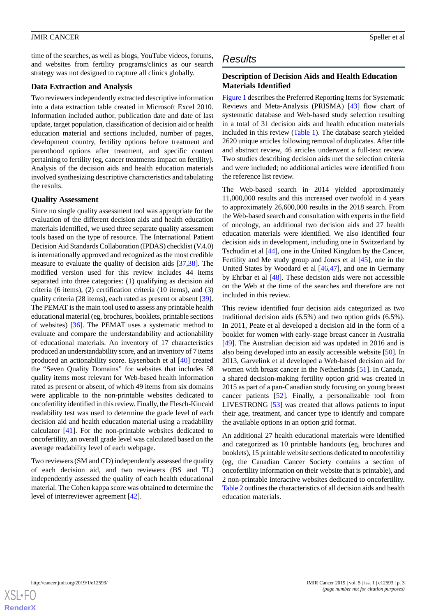time of the searches, as well as blogs, YouTube videos, forums, and websites from fertility programs/clinics as our search strategy was not designed to capture all clinics globally.

### **Data Extraction and Analysis**

Two reviewers independently extracted descriptive information into a data extraction table created in Microsoft Excel 2010. Information included author, publication date and date of last update, target population, classification of decision aid or health education material and sections included, number of pages, development country, fertility options before treatment and parenthood options after treatment, and specific content pertaining to fertility (eg, cancer treatments impact on fertility). Analysis of the decision aids and health education materials involved synthesizing descriptive characteristics and tabulating the results.

### **Quality Assessment**

Since no single quality assessment tool was appropriate for the evaluation of the different decision aids and health education materials identified, we used three separate quality assessment tools based on the type of resource. The International Patient Decision Aid Standards Collaboration (IPDAS) checklist (V.4.0) is internationally approved and recognized as the most credible measure to evaluate the quality of decision aids [\[37](#page-11-16),[38\]](#page-11-17). The modified version used for this review includes 44 items separated into three categories: (1) qualifying as decision aid criteria (6 items), (2) certification criteria (10 items), and (3) quality criteria (28 items), each rated as present or absent [[39\]](#page-11-18). The PEMAT is the main tool used to assess any printable health educational material (eg, brochures, booklets, printable sections of websites) [[36\]](#page-11-15). The PEMAT uses a systematic method to evaluate and compare the understandability and actionability of educational materials. An inventory of 17 characteristics produced an understandability score, and an inventory of 7 items produced an actionability score. Eysenbach et al [\[40](#page-11-19)] created the "Seven Quality Domains" for websites that includes 58 quality items most relevant for Web-based health information rated as present or absent, of which 49 items from six domains were applicable to the non-printable websites dedicated to oncofertility identified in this review. Finally, the Flesch-Kincaid readability test was used to determine the grade level of each decision aid and health education material using a readability calculator [[41\]](#page-11-20). For the non-printable websites dedicated to oncofertility, an overall grade level was calculated based on the average readability level of each webpage.

Two reviewers (SM and CD) independently assessed the quality of each decision aid, and two reviewers (BS and TL) independently assessed the quality of each health educational material. The Cohen kappa score was obtained to determine the level of interreviewer agreement [[42\]](#page-11-21).

# *Results*

### **Description of Decision Aids and Health Education Materials Identified**

[Figure 1](#page-3-0) describes the Preferred Reporting Items for Systematic Reviews and Meta-Analysis (PRISMA) [\[43](#page-12-0)] flow chart of systematic database and Web-based study selection resulting in a total of 31 decision aids and health education materials included in this review [\(Table 1](#page-3-1)). The database search yielded 2620 unique articles following removal of duplicates. After title and abstract review, 46 articles underwent a full-text review. Two studies describing decision aids met the selection criteria and were included; no additional articles were identified from the reference list review.

The Web-based search in 2014 yielded approximately 11,000,000 results and this increased over twofold in 4 years to approximately 26,600,000 results in the 2018 search. From the Web-based search and consultation with experts in the field of oncology, an additional two decision aids and 27 health education materials were identified. We also identified four decision aids in development, including one in Switzerland by Tschudin et al [[44\]](#page-12-1), one in the United Kingdom by the Cancer, Fertility and Me study group and Jones et al [[45\]](#page-12-2), one in the United States by Woodard et al [[46](#page-12-3)[,47](#page-12-4)], and one in Germany by Ehrbar et al [[48\]](#page-12-5). These decision aids were not accessible on the Web at the time of the searches and therefore are not included in this review.

This review identified four decision aids categorized as two traditional decision aids (6.5%) and two option grids (6.5%). In 2011, Peate et al developed a decision aid in the form of a booklet for women with early-stage breast cancer in Australia [[49\]](#page-12-6). The Australian decision aid was updated in 2016 and is also being developed into an easily accessible website [\[50](#page-12-7)]. In 2013, Garvelink et al developed a Web-based decision aid for women with breast cancer in the Netherlands [[51\]](#page-12-8). In Canada, a shared decision-making fertility option grid was created in 2015 as part of a pan-Canadian study focusing on young breast cancer patients [\[52](#page-12-9)]. Finally, a personalizable tool from LIVESTRONG [\[53](#page-12-10)] was created that allows patients to input their age, treatment, and cancer type to identify and compare the available options in an option grid format.

An additional 27 health educational materials were identified and categorized as 10 printable handouts (eg, brochures and booklets), 15 printable website sections dedicated to oncofertility (eg, the Canadian Cancer Society contains a section of oncofertility information on their website that is printable), and 2 non-printable interactive websites dedicated to oncofertility. [Table 2](#page-4-0) outlines the characteristics of all decision aids and health education materials.

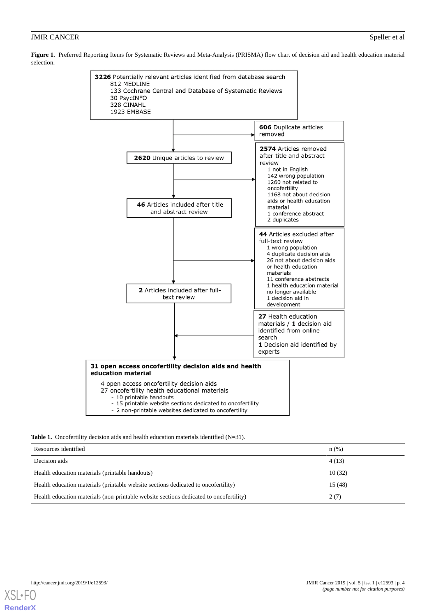<span id="page-3-0"></span>**Figure 1.** Preferred Reporting Items for Systematic Reviews and Meta-Analysis (PRISMA) flow chart of decision aid and health education material selection.



#### <span id="page-3-1"></span>Table 1. Oncofertility decision aids and health education materials identified (N=31).

| Resources identified                                                                   | n(%)   |
|----------------------------------------------------------------------------------------|--------|
| Decision aids                                                                          | 4(13)  |
| Health education materials (printable handouts)                                        | 10(32) |
| Health education materials (printable website sections dedicated to oncofertility)     | 15(48) |
| Health education materials (non-printable website sections dedicated to oncofertility) | 2(7)   |

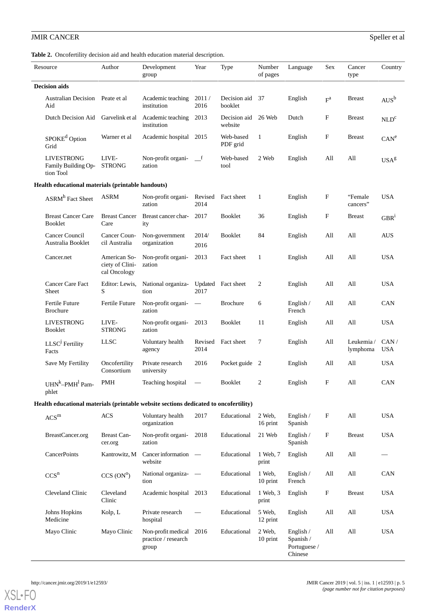# **JMIR CANCER** Speller et al.

<span id="page-4-0"></span>**Table 2.** Oncofertility decision aid and health education material description.

|                      | Resource                                                                             | Author                                          | Development<br>group                               | Year                             | Type                    | Number<br>of pages | Language                                            | Sex        | Cancer<br>type        | Country            |
|----------------------|--------------------------------------------------------------------------------------|-------------------------------------------------|----------------------------------------------------|----------------------------------|-------------------------|--------------------|-----------------------------------------------------|------------|-----------------------|--------------------|
| <b>Decision aids</b> |                                                                                      |                                                 |                                                    |                                  |                         |                    |                                                     |            |                       |                    |
|                      | <b>Australian Decision</b><br>Aid                                                    | Peate et al                                     | Academic teaching<br>institution                   | 2011/<br>2016                    | Decision aid<br>booklet | 37                 | English                                             | $F^a$      | <b>Breast</b>         | $AUS^b$            |
|                      | Dutch Decision Aid                                                                   | Garvelink et al                                 | Academic teaching<br>institution                   | 2013                             | Decision aid<br>website | 26 Web             | Dutch                                               | F          | <b>Breast</b>         | NLD <sup>c</sup>   |
|                      | SPOKE <sup>d</sup> Option<br>Grid                                                    | Warner et al                                    | Academic hospital                                  | 2015                             | Web-based<br>PDF grid   | 1                  | English                                             | $_{\rm F}$ | <b>Breast</b>         | CAN <sup>e</sup>   |
|                      | <b>LIVESTRONG</b><br>Family Building Op-<br>tion Tool                                | LIVE-<br><b>STRONG</b>                          | Non-profit organi-<br>zation                       | $\mathbf{f}$                     | Web-based<br>tool       | 2 Web              | English                                             | All        | All                   | USA <sup>g</sup>   |
|                      | Health educational materials (printable handouts)                                    |                                                 |                                                    |                                  |                         |                    |                                                     |            |                       |                    |
|                      | ASRM <sup>h</sup> Fact Sheet                                                         | <b>ASRM</b>                                     | Non-profit organi-<br>zation                       | Revised<br>2014                  | Fact sheet              | $\mathbf{1}$       | English                                             | F          | "Female"<br>cancers"  | <b>USA</b>         |
|                      | <b>Breast Cancer Care</b><br><b>Booklet</b>                                          | <b>Breast Cancer</b><br>Care                    | Breast cancer char-<br>ity                         | 2017                             | Booklet                 | 36                 | English                                             | F          | <b>Breast</b>         | GBR <sup>1</sup>   |
|                      | Cancer Council<br>Australia Booklet                                                  | Cancer Coun-<br>cil Australia                   | Non-government<br>organization                     | 2014/<br>2016                    | Booklet                 | 84                 | English                                             | All        | All                   | <b>AUS</b>         |
|                      | Cancer.net                                                                           | American So-<br>ciety of Clini-<br>cal Oncology | Non-profit organi-<br>zation                       | 2013                             | Fact sheet              | 1                  | English                                             | All        | All                   | <b>USA</b>         |
|                      | Cancer Care Fact<br>Sheet                                                            | Editor: Lewis,<br>S                             | National organiza-<br>tion                         | 2017                             | Updated Fact sheet      | 2                  | English                                             | All        | All                   | <b>USA</b>         |
|                      | Fertile Future<br><b>Brochure</b>                                                    | Fertile Future                                  | Non-profit organi-<br>zation                       | $\overbrace{\phantom{12322111}}$ | <b>Brochure</b>         | 6                  | English /<br>French                                 | All        | All                   | CAN                |
|                      | <b>LIVESTRONG</b><br><b>Booklet</b>                                                  | LIVE-<br><b>STRONG</b>                          | Non-profit organi-<br>zation                       | 2013                             | Booklet                 | 11                 | English                                             | All        | All                   | <b>USA</b>         |
|                      | LLSC <sup>j</sup> Fertility<br>Facts                                                 | <b>LLSC</b>                                     | Voluntary health<br>agency                         | Revised<br>2014                  | Fact sheet              | 7                  | English                                             | All        | Leukemia/<br>lymphoma | CAN/<br><b>USA</b> |
|                      | Save My Fertility                                                                    | Oncofertility<br>Consortium                     | Private research<br>university                     | 2016                             | Pocket guide 2          |                    | English                                             | All        | All                   | <b>USA</b>         |
|                      | UHN <sup>k</sup> -PMH <sup>1</sup> Pam-<br>phlet                                     | <b>PMH</b>                                      | Teaching hospital                                  |                                  | <b>Booklet</b>          | 2                  | English                                             | F          | All                   | CAN                |
|                      | Health educational materials (printable website sections dedicated to oncofertility) |                                                 |                                                    |                                  |                         |                    |                                                     |            |                       |                    |
|                      | $\ensuremath{\mathsf{ACS}}\xspace^m$                                                 | <b>ACS</b>                                      | Voluntary health<br>organization                   | 2017                             | Educational             | 2 Web,<br>16 print | English /<br>Spanish                                | $\rm F$    | All                   | <b>USA</b>         |
|                      | BreastCancer.org                                                                     | <b>Breast Can-</b><br>cer.org                   | Non-profit organi-<br>zation                       | 2018                             | Educational             | 21 Web             | English /<br>Spanish                                | F          | <b>Breast</b>         | <b>USA</b>         |
|                      | CancerPoints                                                                         | Kantrowitz, M                                   | Cancer information<br>website                      | $\overline{\phantom{a}}$         | Educational             | 1 Web, 7<br>print  | English                                             | All        | All                   |                    |
|                      | CCS <sup>n</sup>                                                                     | CCS (ON <sup>o</sup> )                          | National organiza-<br>tion                         | $\overline{\phantom{m}}$         | Educational             | 1 Web,<br>10 print | English $/$<br>French                               | All        | All                   | CAN                |
|                      | Cleveland Clinic                                                                     | Cleveland<br>Clinic                             | Academic hospital 2013                             |                                  | Educational             | 1 Web, 3<br>print  | English                                             | $\rm F$    | <b>Breast</b>         | <b>USA</b>         |
|                      | Johns Hopkins<br>Medicine                                                            | Kolp, L                                         | Private research<br>hospital                       |                                  | Educational             | 5 Web,<br>12 print | English                                             | All        | All                   | <b>USA</b>         |
|                      | Mayo Clinic                                                                          | Mayo Clinic                                     | Non-profit medical<br>practice / research<br>group | 2016                             | Educational             | 2 Web,<br>10 print | English $/$<br>Spanish /<br>Portuguese /<br>Chinese | All        | All                   | <b>USA</b>         |

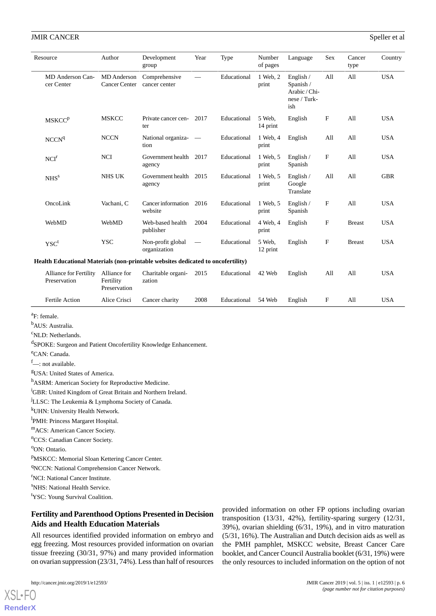| Resource                                                                         | Author                                    | Development<br>group              | Year                           | Type        | Number<br>of pages | Language                                                       | <b>Sex</b>  | Cancer<br>type | Country    |
|----------------------------------------------------------------------------------|-------------------------------------------|-----------------------------------|--------------------------------|-------------|--------------------|----------------------------------------------------------------|-------------|----------------|------------|
| MD Anderson Can-<br>cer Center                                                   | MD Anderson<br>Cancer Center              | Comprehensive<br>cancer center    |                                | Educational | 1 Web, 2<br>print  | English /<br>Spanish /<br>Arabic / Chi-<br>nese / Turk-<br>ish | All         | All            | <b>USA</b> |
| <b>MSKCCP</b>                                                                    | <b>MSKCC</b>                              | Private cancer cen-<br>ter        | 2017                           | Educational | 5 Web,<br>14 print | English                                                        | F           | All            | <b>USA</b> |
| NCCN <sup>q</sup>                                                                | <b>NCCN</b>                               | National organiza-<br>tion        |                                | Educational | 1 Web, 4<br>print  | English                                                        | All         | All            | <b>USA</b> |
| NCI <sup>r</sup>                                                                 | <b>NCI</b>                                | Government health<br>agency       | 2017                           | Educational | 1 Web, 5<br>print  | English /<br>Spanish                                           | F           | All            | <b>USA</b> |
| NHS <sup>s</sup>                                                                 | <b>NHS UK</b>                             | Government health<br>agency       | 2015                           | Educational | 1 Web, 5<br>print  | English $/$<br>Google<br>Translate                             | All         | All            | <b>GBR</b> |
| OncoLink                                                                         | Vachani, C                                | Cancer information<br>website     | 2016                           | Educational | 1 Web. 5<br>print  | English /<br>Spanish                                           | $\mathbf F$ | All            | <b>USA</b> |
| WebMD                                                                            | WebMD                                     | Web-based health<br>publisher     | 2004                           | Educational | 4 Web, 4<br>print  | English                                                        | $\mathbf F$ | <b>Breast</b>  | <b>USA</b> |
| $\mathbf{YSC}^t$                                                                 | <b>YSC</b>                                | Non-profit global<br>organization | $\overbrace{\phantom{123321}}$ | Educational | 5 Web,<br>12 print | English                                                        | F           | <b>Breast</b>  | <b>USA</b> |
| Health Educational Materials (non-printable websites dedicated to oncofertility) |                                           |                                   |                                |             |                    |                                                                |             |                |            |
| Alliance for Fertility<br>Preservation                                           | Alliance for<br>Fertility<br>Preservation | Charitable organi-<br>zation      | 2015                           | Educational | 42 Web             | English                                                        | All         | All            | <b>USA</b> |
| <b>Fertile Action</b>                                                            | Alice Crisci                              | Cancer charity                    | 2008                           | Educational | 54 Web             | English                                                        | F           | All            | <b>USA</b> |

<sup>a</sup>F: female.

<sup>b</sup>AUS: Australia.

<sup>c</sup>NLD: Netherlands.

d SPOKE: Surgeon and Patient Oncofertility Knowledge Enhancement.

<sup>e</sup>CAN: Canada.

 $f$  : not available.

<sup>g</sup>USA: United States of America.

h<sub>ASRM</sub>: American Society for Reproductive Medicine.

<sup>i</sup>GBR: United Kingdom of Great Britain and Northern Ireland.

<sup>j</sup>LLSC: The Leukemia & Lymphoma Society of Canada.

<sup>k</sup>UHN: University Health Network.

<sup>1</sup>PMH: Princess Margaret Hospital.

<sup>m</sup>ACS: American Cancer Society.

<sup>n</sup>CCS: Canadian Cancer Society.

<sup>o</sup>ON: Ontario.

PMSKCC: Memorial Sloan Kettering Cancer Center.

<sup>q</sup>NCCN: National Comprehension Cancer Network.

<sup>r</sup>NCI: National Cancer Institute.

<sup>s</sup>NHS: National Health Service.

<sup>t</sup>YSC: Young Survival Coalition.

# **Fertility and Parenthood Options Presented in Decision Aids and Health Education Materials**

All resources identified provided information on embryo and egg freezing. Most resources provided information on ovarian tissue freezing (30/31, 97%) and many provided information on ovarian suppression (23/31, 74%). Less than half of resources

[XSL](http://www.w3.org/Style/XSL)•FO **[RenderX](http://www.renderx.com/)** provided information on other FP options including ovarian transposition (13/31, 42%), fertility-sparing surgery (12/31, 39%), ovarian shielding (6/31, 19%), and in vitro maturation (5/31, 16%). The Australian and Dutch decision aids as well as the PMH pamphlet, MSKCC website, Breast Cancer Care booklet, and Cancer Council Australia booklet (6/31, 19%) were the only resources to included information on the option of not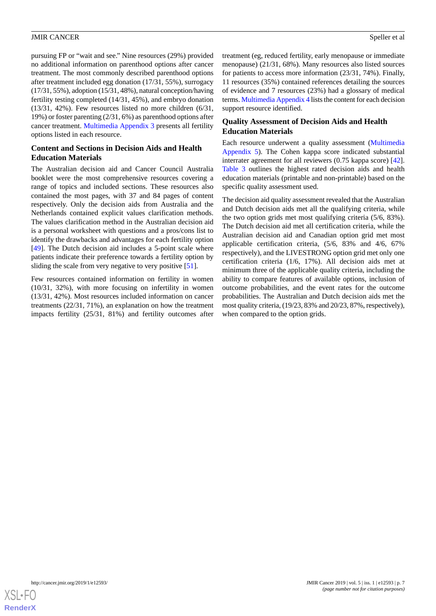pursuing FP or "wait and see." Nine resources (29%) provided no additional information on parenthood options after cancer treatment. The most commonly described parenthood options after treatment included egg donation (17/31, 55%), surrogacy (17/31, 55%), adoption (15/31, 48%), natural conception/having fertility testing completed (14/31, 45%), and embryo donation (13/31, 42%). Few resources listed no more children (6/31, 19%) or foster parenting (2/31, 6%) as parenthood options after cancer treatment. [Multimedia Appendix 3](#page-9-2) presents all fertility options listed in each resource.

# **Content and Sections in Decision Aids and Health Education Materials**

The Australian decision aid and Cancer Council Australia booklet were the most comprehensive resources covering a range of topics and included sections. These resources also contained the most pages, with 37 and 84 pages of content respectively. Only the decision aids from Australia and the Netherlands contained explicit values clarification methods. The values clarification method in the Australian decision aid is a personal worksheet with questions and a pros/cons list to identify the drawbacks and advantages for each fertility option [[49\]](#page-12-6). The Dutch decision aid includes a 5-point scale where patients indicate their preference towards a fertility option by sliding the scale from very negative to very positive [[51\]](#page-12-8).

Few resources contained information on fertility in women (10/31, 32%), with more focusing on infertility in women (13/31, 42%). Most resources included information on cancer treatments (22/31, 71%), an explanation on how the treatment impacts fertility (25/31, 81%) and fertility outcomes after

treatment (eg, reduced fertility, early menopause or immediate menopause) (21/31, 68%). Many resources also listed sources for patients to access more information (23/31, 74%). Finally, 11 resources (35%) contained references detailing the sources of evidence and 7 resources (23%) had a glossary of medical terms. [Multimedia Appendix 4](#page-9-3) lists the content for each decision support resource identified.

# **Quality Assessment of Decision Aids and Health Education Materials**

Each resource underwent a quality assessment [\(Multimedia](#page-10-15) [Appendix 5\)](#page-10-15). The Cohen kappa score indicated substantial interrater agreement for all reviewers (0.75 kappa score) [[42\]](#page-11-21). [Table 3](#page-7-0) outlines the highest rated decision aids and health education materials (printable and non-printable) based on the specific quality assessment used.

The decision aid quality assessment revealed that the Australian and Dutch decision aids met all the qualifying criteria, while the two option grids met most qualifying criteria (5/6, 83%). The Dutch decision aid met all certification criteria, while the Australian decision aid and Canadian option grid met most applicable certification criteria, (5/6, 83% and 4/6, 67% respectively), and the LIVESTRONG option grid met only one certification criteria (1/6, 17%). All decision aids met at minimum three of the applicable quality criteria, including the ability to compare features of available options, inclusion of outcome probabilities, and the event rates for the outcome probabilities. The Australian and Dutch decision aids met the most quality criteria, (19/23, 83% and 20/23, 87%, respectively), when compared to the option grids.

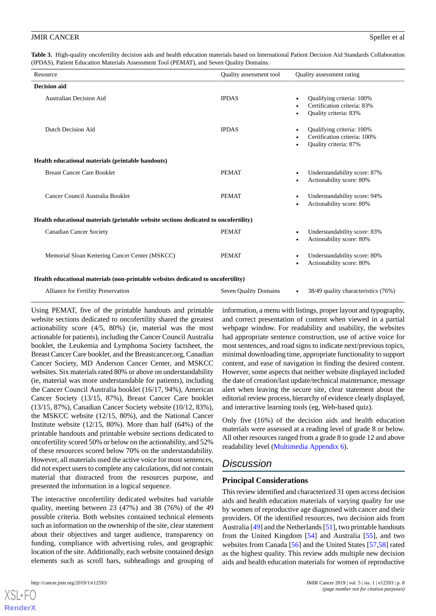<span id="page-7-0"></span>**Table 3.** High-quality oncofertility decision aids and health education materials based on International Patient Decision Aid Standards Collaboration (IPDAS), Patient Education Materials Assessment Tool (PEMAT), and Seven Quality Domains.

| Resource                                                                             | Quality assessment tool | Quality assessment rating                                                                       |  |  |  |  |  |
|--------------------------------------------------------------------------------------|-------------------------|-------------------------------------------------------------------------------------------------|--|--|--|--|--|
| <b>Decision aid</b>                                                                  |                         |                                                                                                 |  |  |  |  |  |
| Australian Decision Aid                                                              | <b>IPDAS</b>            | Qualifying criteria: 100%<br>$\bullet$<br>Certification criteria: 83%<br>Quality criteria: 83%  |  |  |  |  |  |
| Dutch Decision Aid                                                                   | <b>IPDAS</b>            | Qualifying criteria: 100%<br>$\bullet$<br>Certification criteria: 100%<br>Quality criteria: 87% |  |  |  |  |  |
| Health educational materials (printable handouts)                                    |                         |                                                                                                 |  |  |  |  |  |
| <b>Breast Cancer Care Booklet</b>                                                    | <b>PEMAT</b>            | Understandability score: 87%<br>$\bullet$<br>Actionability score: 80%<br>$\bullet$              |  |  |  |  |  |
| Cancer Council Australia Booklet                                                     | <b>PEMAT</b>            | Understandability score: 94%<br>$\bullet$<br>Actionability score: 80%<br>$\bullet$              |  |  |  |  |  |
| Health educational materials (printable website sections dedicated to oncofertility) |                         |                                                                                                 |  |  |  |  |  |
| <b>Canadian Cancer Society</b>                                                       | <b>PEMAT</b>            | Understandability score: 83%<br>$\bullet$<br>Actionability score: 80%                           |  |  |  |  |  |
| Memorial Sloan Kettering Cancer Center (MSKCC)                                       | <b>PEMAT</b>            | Understandability score: 80%<br>$\bullet$<br>Actionability score: 80%                           |  |  |  |  |  |
| Health educational materials (non-printable websites dedicated to oncofertility)     |                         |                                                                                                 |  |  |  |  |  |

| Alliance for Fertility Preservation | Seven Quality Domains | $\bullet$ 38/49 quality characteristics (76%) |
|-------------------------------------|-----------------------|-----------------------------------------------|
|                                     |                       |                                               |

Using PEMAT, five of the printable handouts and printable website sections dedicated to oncofertility shared the greatest actionability score (4/5, 80%) (ie, material was the most actionable for patients), including the Cancer Council Australia booklet, the Leukemia and Lymphoma Society factsheet, the Breast Cancer Care booklet, and the Breastcancer.org, Canadian Cancer Society, MD Anderson Cancer Center, and MSKCC websites. Six materials rated 80% or above on understandability (ie, material was more understandable for patients), including the Cancer Council Australia booklet (16/17, 94%), American Cancer Society (13/15, 87%), Breast Cancer Care booklet (13/15, 87%), Canadian Cancer Society website (10/12, 83%), the MSKCC website (12/15, 80%), and the National Cancer Institute website (12/15, 80%). More than half (64%) of the printable handouts and printable website sections dedicated to oncofertility scored 50% or below on the actionability, and 52% of these resources scored below 70% on the understandability. However, all materials used the active voice for most sentences, did not expect users to complete any calculations, did not contain material that distracted from the resources purpose, and presented the information in a logical sequence.

The interactive oncofertility dedicated websites had variable quality, meeting between 23 (47%) and 38 (76%) of the 49 possible criteria. Both websites contained technical elements such as information on the ownership of the site, clear statement about their objectives and target audience, transparency on funding, compliance with advertising rules, and geographic location of the site. Additionally, each website contained design elements such as scroll bars, subheadings and grouping of

[XSL](http://www.w3.org/Style/XSL)•FO **[RenderX](http://www.renderx.com/)**

information, a menu with listings, proper layout and typography, and correct presentation of content when viewed in a partial webpage window. For readability and usability, the websites had appropriate sentence construction, use of active voice for most sentences, and road signs to indicate next/previous topics, minimal downloading time, appropriate functionality to support content, and ease of navigation in finding the desired content. However, some aspects that neither website displayed included the date of creation/last update/technical maintenance, message alert when leaving the secure site, clear statement about the editorial review process, hierarchy of evidence clearly displayed, and interactive learning tools (eg, Web-based quiz).

Only five (16%) of the decision aids and health education materials were assessed at a reading level of grade 8 or below. All other resources ranged from a grade 8 to grade 12 and above readability level ([Multimedia Appendix 6\)](#page-10-16).

# *Discussion*

# **Principal Considerations**

This review identified and characterized 31 open access decision aids and health education materials of varying quality for use by women of reproductive age diagnosed with cancer and their providers. Of the identified resources, two decision aids from Australia [[49\]](#page-12-6) and the Netherlands [[51\]](#page-12-8), two printable handouts from the United Kingdom [[54\]](#page-12-11) and Australia [[55\]](#page-12-12), and two websites from Canada [\[56](#page-12-13)] and the United States [\[57](#page-12-14)[,58](#page-12-15)] rated as the highest quality. This review adds multiple new decision aids and health education materials for women of reproductive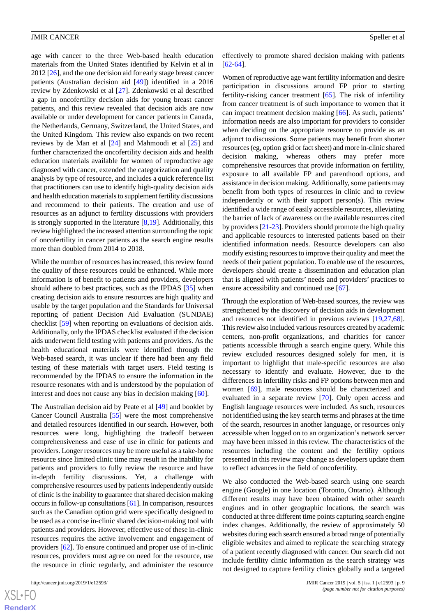age with cancer to the three Web-based health education materials from the United States identified by Kelvin et al in 2012 [[26\]](#page-11-5), and the one decision aid for early stage breast cancer patients (Australian decision aid [\[49](#page-12-6)]) identified in a 2016 review by Zdenkowski et al [[27\]](#page-11-6). Zdenkowski et al described a gap in oncofertility decision aids for young breast cancer patients, and this review revealed that decision aids are now available or under development for cancer patients in Canada, the Netherlands, Germany, Switzerland, the United States, and the United Kingdom. This review also expands on two recent reviews by de Man et al [[24\]](#page-11-3) and Mahmoodi et al [\[25](#page-11-4)] and further characterized the oncofertility decision aids and health education materials available for women of reproductive age diagnosed with cancer, extended the categorization and quality analysis by type of resource, and includes a quick reference list that practitioners can use to identify high-quality decision aids and health education materials to supplement fertility discussions and recommend to their patients. The creation and use of resources as an adjunct to fertility discussions with providers is strongly supported in the literature  $[8,19]$  $[8,19]$  $[8,19]$ . Additionally, this review highlighted the increased attention surrounding the topic of oncofertility in cancer patients as the search engine results more than doubled from 2014 to 2018.

While the number of resources has increased, this review found the quality of these resources could be enhanced. While more information is of benefit to patients and providers, developers should adhere to best practices, such as the IPDAS [[35\]](#page-11-14) when creating decision aids to ensure resources are high quality and usable by the target population and the Standards for Universal reporting of patient Decision Aid Evaluation (SUNDAE) checklist [\[59](#page-12-16)] when reporting on evaluations of decision aids. Additionally, only the IPDAS checklist evaluated if the decision aids underwent field testing with patients and providers. As the health educational materials were identified through the Web-based search, it was unclear if there had been any field testing of these materials with target users. Field testing is recommended by the IPDAS to ensure the information in the resource resonates with and is understood by the population of interest and does not cause any bias in decision making [[60\]](#page-12-17).

The Australian decision aid by Peate et al [[49\]](#page-12-6) and booklet by Cancer Council Australia [\[55](#page-12-12)] were the most comprehensive and detailed resources identified in our search. However, both resources were long, highlighting the tradeoff between comprehensiveness and ease of use in clinic for patients and providers. Longer resources may be more useful as a take-home resource since limited clinic time may result in the inability for patients and providers to fully review the resource and have in-depth fertility discussions. Yet, a challenge with comprehensive resources used by patients independently outside of clinic is the inability to guarantee that shared decision making occurs in follow-up consultations [[61\]](#page-12-18). In comparison, resources such as the Canadian option grid were specifically designed to be used as a concise in-clinic shared decision-making tool with patients and providers. However, effective use of these in-clinic resources requires the active involvement and engagement of providers [[62\]](#page-12-19). To ensure continued and proper use of in-clinic resources, providers must agree on need for the resource, use the resource in clinic regularly, and administer the resource

effectively to promote shared decision making with patients  $[62, 64]$  $[62, 64]$  $[62, 64]$ .

Women of reproductive age want fertility information and desire participation in discussions around FP prior to starting fertility-risking cancer treatment [\[65](#page-13-0)]. The risk of infertility from cancer treatment is of such importance to women that it can impact treatment decision making [\[66](#page-13-1)]. As such, patients' information needs are also important for providers to consider when deciding on the appropriate resource to provide as an adjunct to discussions. Some patients may benefit from shorter resources (eg, option grid or fact sheet) and more in-clinic shared decision making, whereas others may prefer more comprehensive resources that provide information on fertility, exposure to all available FP and parenthood options, and assistance in decision making. Additionally, some patients may benefit from both types of resources in clinic and to review independently or with their support person(s). This review identified a wide range of easily accessible resources, alleviating the barrier of lack of awareness on the available resources cited by providers [[21-](#page-11-1)[23](#page-11-2)]. Providers should promote the high quality and applicable resources to interested patients based on their identified information needs. Resource developers can also modify existing resources to improve their quality and meet the needs of their patient population. To enable use of the resources, developers should create a dissemination and education plan that is aligned with patients' needs and providers' practices to ensure accessibility and continued use [\[67](#page-13-2)].

Through the exploration of Web-based sources, the review was strengthened by the discovery of decision aids in development and resources not identified in previous reviews [[19](#page-10-14)[,27](#page-11-6),[68\]](#page-13-3). This review also included various resources created by academic centers, non-profit organizations, and charities for cancer patients accessible through a search engine query. While this review excluded resources designed solely for men, it is important to highlight that male-specific resources are also necessary to identify and evaluate. However, due to the differences in infertility risks and FP options between men and women [[69\]](#page-13-4), male resources should be characterized and evaluated in a separate review [\[70](#page-13-5)]. Only open access and English language resources were included. As such, resources not identified using the key search terms and phrases at the time of the search, resources in another language, or resources only accessible when logged on to an organization's network server may have been missed in this review. The characteristics of the resources including the content and the fertility options presented in this review may change as developers update them to reflect advances in the field of oncofertility.

We also conducted the Web-based search using one search engine (Google) in one location (Toronto, Ontario). Although different results may have been obtained with other search engines and in other geographic locations, the search was conducted at three different time points capturing search engine index changes. Additionally, the review of approximately 50 websites during each search ensured a broad range of potentially eligible websites and aimed to replicate the searching strategy of a patient recently diagnosed with cancer. Our search did not include fertility clinic information as the search strategy was not designed to capture fertility clinics globally and a targeted

 $XS$ -FO **[RenderX](http://www.renderx.com/)**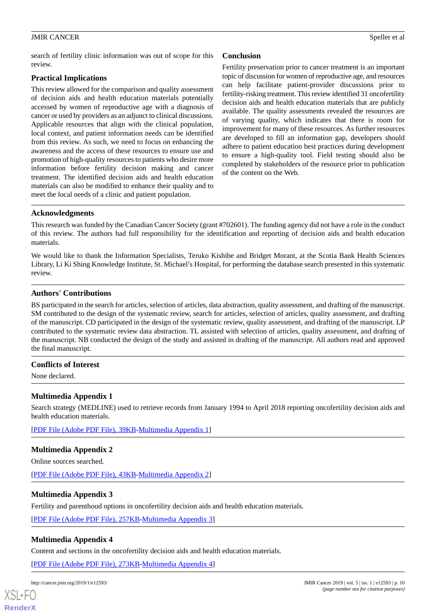search of fertility clinic information was out of scope for this review.

# **Practical Implications**

This review allowed for the comparison and quality assessment of decision aids and health education materials potentially accessed by women of reproductive age with a diagnosis of cancer or used by providers as an adjunct to clinical discussions. Applicable resources that align with the clinical population, local context, and patient information needs can be identified from this review. As such, we need to focus on enhancing the awareness and the access of these resources to ensure use and promotion of high-quality resources to patients who desire more information before fertility decision making and cancer treatment. The identified decision aids and health education materials can also be modified to enhance their quality and to meet the local needs of a clinic and patient population.

# **Conclusion**

Fertility preservation prior to cancer treatment is an important topic of discussion for women of reproductive age, and resources can help facilitate patient-provider discussions prior to fertility-risking treatment. This review identified 31 oncofertility decision aids and health education materials that are publicly available. The quality assessments revealed the resources are of varying quality, which indicates that there is room for improvement for many of these resources. As further resources are developed to fill an information gap, developers should adhere to patient education best practices during development to ensure a high-quality tool. Field testing should also be completed by stakeholders of the resource prior to publication of the content on the Web.

## **Acknowledgments**

This research was funded by the Canadian Cancer Society (grant #702601). The funding agency did not have a role in the conduct of this review. The authors had full responsibility for the identification and reporting of decision aids and health education materials.

We would like to thank the Information Specialists, Teruko Kishibe and Bridget Morant, at the Scotia Bank Health Sciences Library, Li Ki Shing Knowledge Institute, St. Michael's Hospital, for performing the database search presented in this systematic review.

## **Authors' Contributions**

BS participated in the search for articles, selection of articles, data abstraction, quality assessment, and drafting of the manuscript. SM contributed to the design of the systematic review, search for articles, selection of articles, quality assessment, and drafting of the manuscript. CD participated in the design of the systematic review, quality assessment, and drafting of the manuscript. LP contributed to the systematic review data abstraction. TL assisted with selection of articles, quality assessment, and drafting of the manuscript. NB conducted the design of the study and assisted in drafting of the manuscript. All authors read and approved the final manuscript.

# <span id="page-9-0"></span>**Conflicts of Interest**

None declared.

# **Multimedia Appendix 1**

<span id="page-9-1"></span>Search strategy (MEDLINE) used to retrieve records from January 1994 to April 2018 reporting oncofertility decision aids and health education materials.

[[PDF File \(Adobe PDF File\), 39KB-Multimedia Appendix 1](https://jmir.org/api/download?alt_name=cancer_v5i1e12593_app1.pdf&filename=5b2b7b97c9c3e772feeb9bd703bd0da0.pdf)]

# <span id="page-9-2"></span>**Multimedia Appendix 2**

Online sources searched.

[[PDF File \(Adobe PDF File\), 43KB-Multimedia Appendix 2](https://jmir.org/api/download?alt_name=cancer_v5i1e12593_app2.pdf&filename=f97323bc5070f3709f596846510ba61c.pdf)]

# <span id="page-9-3"></span>**Multimedia Appendix 3**

Fertility and parenthood options in oncofertility decision aids and health education materials.

[[PDF File \(Adobe PDF File\), 257KB-Multimedia Appendix 3](https://jmir.org/api/download?alt_name=cancer_v5i1e12593_app3.pdf&filename=a0a291ce875be1eca722625c16804f6a.pdf)]

# **Multimedia Appendix 4**

Content and sections in the oncofertility decision aids and health education materials.

[[PDF File \(Adobe PDF File\), 273KB-Multimedia Appendix 4](https://jmir.org/api/download?alt_name=cancer_v5i1e12593_app4.pdf&filename=98f697e5bf244bda6bb2d1f8ab11f490.pdf)]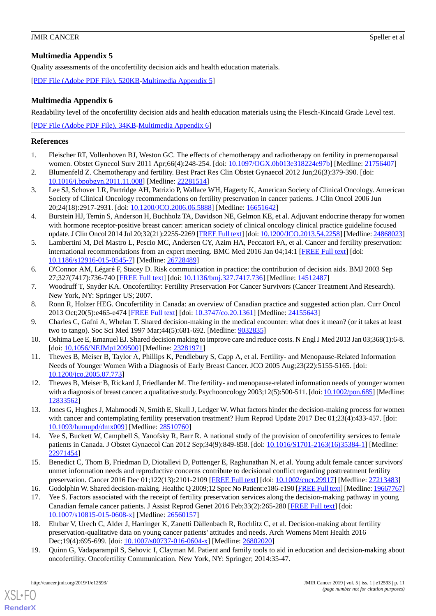# <span id="page-10-15"></span>**Multimedia Appendix 5**

Quality assessments of the oncofertility decision aids and health education materials.

<span id="page-10-16"></span>[[PDF File \(Adobe PDF File\), 520KB-Multimedia Appendix 5](https://jmir.org/api/download?alt_name=cancer_v5i1e12593_app5.pdf&filename=1a0ee827b187b226d1f22a67da573079.pdf)]

# **Multimedia Appendix 6**

Readability level of the oncofertility decision aids and health education materials using the Flesch-Kincaid Grade Level test.

[[PDF File \(Adobe PDF File\), 34KB-Multimedia Appendix 6](https://jmir.org/api/download?alt_name=cancer_v5i1e12593_app6.pdf&filename=099939bb55b290f337609a0d0b3bb804.pdf)]

# <span id="page-10-0"></span>**References**

- 1. Fleischer RT, Vollenhoven BJ, Weston GC. The effects of chemotherapy and radiotherapy on fertility in premenopausal women. Obstet Gynecol Surv 2011 Apr;66(4):248-254. [doi: [10.1097/OGX.0b013e318224e97b](http://dx.doi.org/10.1097/OGX.0b013e318224e97b)] [Medline: [21756407](http://www.ncbi.nlm.nih.gov/entrez/query.fcgi?cmd=Retrieve&db=PubMed&list_uids=21756407&dopt=Abstract)]
- <span id="page-10-1"></span>2. Blumenfeld Z. Chemotherapy and fertility. Best Pract Res Clin Obstet Gynaecol 2012 Jun;26(3):379-390. [doi: [10.1016/j.bpobgyn.2011.11.008\]](http://dx.doi.org/10.1016/j.bpobgyn.2011.11.008) [Medline: [22281514](http://www.ncbi.nlm.nih.gov/entrez/query.fcgi?cmd=Retrieve&db=PubMed&list_uids=22281514&dopt=Abstract)]
- <span id="page-10-2"></span>3. Lee SJ, Schover LR, Partridge AH, Patrizio P, Wallace WH, Hagerty K, American Society of Clinical Oncology. American Society of Clinical Oncology recommendations on fertility preservation in cancer patients. J Clin Oncol 2006 Jun 20;24(18):2917-2931. [doi: [10.1200/JCO.2006.06.5888](http://dx.doi.org/10.1200/JCO.2006.06.5888)] [Medline: [16651642\]](http://www.ncbi.nlm.nih.gov/entrez/query.fcgi?cmd=Retrieve&db=PubMed&list_uids=16651642&dopt=Abstract)
- <span id="page-10-3"></span>4. Burstein HJ, Temin S, Anderson H, Buchholz TA, Davidson NE, Gelmon KE, et al. Adjuvant endocrine therapy for women with hormone receptor-positive breast cancer: american society of clinical oncology clinical practice guideline focused update. J Clin Oncol 2014 Jul 20;32(21):2255-2269 [[FREE Full text](http://europepmc.org/abstract/MED/24868023)] [doi: [10.1200/JCO.2013.54.2258](http://dx.doi.org/10.1200/JCO.2013.54.2258)] [Medline: [24868023\]](http://www.ncbi.nlm.nih.gov/entrez/query.fcgi?cmd=Retrieve&db=PubMed&list_uids=24868023&dopt=Abstract)
- <span id="page-10-4"></span>5. Lambertini M, Del Mastro L, Pescio MC, Andersen CY, Azim HA, Peccatori FA, et al. Cancer and fertility preservation: international recommendations from an expert meeting. BMC Med 2016 Jan 04;14:1 [[FREE Full text](https://bmcmedicine.biomedcentral.com/articles/10.1186/s12916-015-0545-7)] [doi: [10.1186/s12916-015-0545-7\]](http://dx.doi.org/10.1186/s12916-015-0545-7) [Medline: [26728489](http://www.ncbi.nlm.nih.gov/entrez/query.fcgi?cmd=Retrieve&db=PubMed&list_uids=26728489&dopt=Abstract)]
- <span id="page-10-6"></span><span id="page-10-5"></span>6. O'Connor AM, Légaré F, Stacey D. Risk communication in practice: the contribution of decision aids. BMJ 2003 Sep 27;327(7417):736-740 [[FREE Full text](http://europepmc.org/abstract/MED/14512487)] [doi: [10.1136/bmj.327.7417.736\]](http://dx.doi.org/10.1136/bmj.327.7417.736) [Medline: [14512487\]](http://www.ncbi.nlm.nih.gov/entrez/query.fcgi?cmd=Retrieve&db=PubMed&list_uids=14512487&dopt=Abstract)
- <span id="page-10-7"></span>7. Woodruff T, Snyder KA. Oncofertility: Fertility Preservation For Cancer Survivors (Cancer Treatment And Research). New York, NY: Springer US; 2007.
- <span id="page-10-8"></span>8. Ronn R, Holzer HEG. Oncofertility in Canada: an overview of Canadian practice and suggested action plan. Curr Oncol 2013 Oct;20(5):e465-e474 [[FREE Full text](http://www.current-oncology.com/index.php/oncology/article/view/1361/1247)] [doi: [10.3747/co.20.1361](http://dx.doi.org/10.3747/co.20.1361)] [Medline: [24155643\]](http://www.ncbi.nlm.nih.gov/entrez/query.fcgi?cmd=Retrieve&db=PubMed&list_uids=24155643&dopt=Abstract)
- <span id="page-10-9"></span>9. Charles C, Gafni A, Whelan T. Shared decision-making in the medical encounter: what does it mean? (or it takes at least two to tango). Soc Sci Med 1997 Mar;44(5):681-692. [Medline: [9032835](http://www.ncbi.nlm.nih.gov/entrez/query.fcgi?cmd=Retrieve&db=PubMed&list_uids=9032835&dopt=Abstract)]
- <span id="page-10-10"></span>10. Oshima Lee E, Emanuel EJ. Shared decision making to improve care and reduce costs. N Engl J Med 2013 Jan 03;368(1):6-8. [doi: [10.1056/NEJMp1209500](http://dx.doi.org/10.1056/NEJMp1209500)] [Medline: [23281971](http://www.ncbi.nlm.nih.gov/entrez/query.fcgi?cmd=Retrieve&db=PubMed&list_uids=23281971&dopt=Abstract)]
- <span id="page-10-11"></span>11. Thewes B, Meiser B, Taylor A, Phillips K, Pendlebury S, Capp A, et al. Fertility- and Menopause-Related Information Needs of Younger Women With a Diagnosis of Early Breast Cancer. JCO 2005 Aug;23(22):5155-5165. [doi: [10.1200/jco.2005.07.773](http://dx.doi.org/10.1200/jco.2005.07.773)]
- 12. Thewes B, Meiser B, Rickard J, Friedlander M. The fertility- and menopause-related information needs of younger women with a diagnosis of breast cancer: a qualitative study. Psychooncology 2003;12(5):500-511. [doi: [10.1002/pon.685\]](http://dx.doi.org/10.1002/pon.685) [Medline: [12833562](http://www.ncbi.nlm.nih.gov/entrez/query.fcgi?cmd=Retrieve&db=PubMed&list_uids=12833562&dopt=Abstract)]
- <span id="page-10-12"></span>13. Jones G, Hughes J, Mahmoodi N, Smith E, Skull J, Ledger W. What factors hinder the decision-making process for women with cancer and contemplating fertility preservation treatment? Hum Reprod Update 2017 Dec 01;23(4):433-457. [doi: [10.1093/humupd/dmx009](http://dx.doi.org/10.1093/humupd/dmx009)] [Medline: [28510760\]](http://www.ncbi.nlm.nih.gov/entrez/query.fcgi?cmd=Retrieve&db=PubMed&list_uids=28510760&dopt=Abstract)
- <span id="page-10-13"></span>14. Yee S, Buckett W, Campbell S, Yanofsky R, Barr R. A national study of the provision of oncofertility services to female patients in Canada. J Obstet Gynaecol Can 2012 Sep;34(9):849-858. [doi: [10.1016/S1701-2163\(16\)35384-1](http://dx.doi.org/10.1016/S1701-2163(16)35384-1)] [Medline: [22971454](http://www.ncbi.nlm.nih.gov/entrez/query.fcgi?cmd=Retrieve&db=PubMed&list_uids=22971454&dopt=Abstract)]
- 15. Benedict C, Thom B, Friedman D, Diotallevi D, Pottenger E, Raghunathan N, et al. Young adult female cancer survivors' unmet information needs and reproductive concerns contribute to decisional conflict regarding posttreatment fertility preservation. Cancer 2016 Dec 01;122(13):2101-2109 [[FREE Full text](https://doi.org/10.1002/cncr.29917)] [doi: [10.1002/cncr.29917](http://dx.doi.org/10.1002/cncr.29917)] [Medline: [27213483\]](http://www.ncbi.nlm.nih.gov/entrez/query.fcgi?cmd=Retrieve&db=PubMed&list_uids=27213483&dopt=Abstract)
- 16. Godolphin W. Shared decision-making. Healthc Q 2009;12 Spec No Patient:e186-e190 [\[FREE Full text\]](http://www.longwoods.com/product.php?productid=20947) [Medline: [19667767\]](http://www.ncbi.nlm.nih.gov/entrez/query.fcgi?cmd=Retrieve&db=PubMed&list_uids=19667767&dopt=Abstract)
- <span id="page-10-14"></span>17. Yee S. Factors associated with the receipt of fertility preservation services along the decision-making pathway in young Canadian female cancer patients. J Assist Reprod Genet 2016 Feb;33(2):265-280 [[FREE Full text](http://europepmc.org/abstract/MED/26560157)] [doi: [10.1007/s10815-015-0608-x\]](http://dx.doi.org/10.1007/s10815-015-0608-x) [Medline: [26560157](http://www.ncbi.nlm.nih.gov/entrez/query.fcgi?cmd=Retrieve&db=PubMed&list_uids=26560157&dopt=Abstract)]
- 18. Ehrbar V, Urech C, Alder J, Harringer K, Zanetti Dällenbach R, Rochlitz C, et al. Decision-making about fertility preservation-qualitative data on young cancer patients' attitudes and needs. Arch Womens Ment Health 2016 Dec;19(4):695-699. [doi: [10.1007/s00737-016-0604-x\]](http://dx.doi.org/10.1007/s00737-016-0604-x) [Medline: [26802020\]](http://www.ncbi.nlm.nih.gov/entrez/query.fcgi?cmd=Retrieve&db=PubMed&list_uids=26802020&dopt=Abstract)
- 19. Quinn G, Vadaparampil S, Sehovic I, Clayman M. Patient and family tools to aid in education and decision-making about oncofertility. Oncofertility Communication. New York, NY: Springer; 2014:35-47.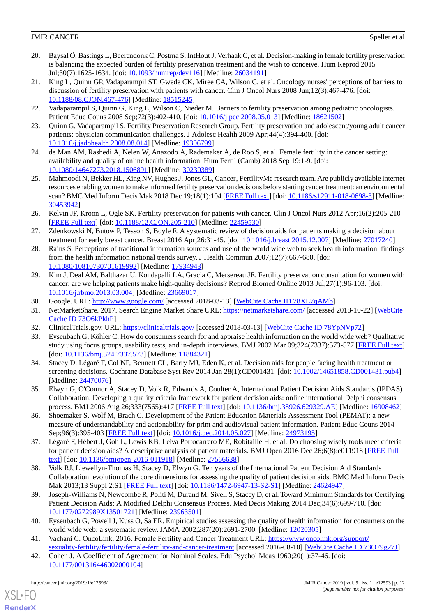- <span id="page-11-0"></span>20. Baysal Ö, Bastings L, Beerendonk C, Postma S, IntHout J, Verhaak C, et al. Decision-making in female fertility preservation is balancing the expected burden of fertility preservation treatment and the wish to conceive. Hum Reprod 2015 Jul;30(7):1625-1634. [doi: [10.1093/humrep/dev116\]](http://dx.doi.org/10.1093/humrep/dev116) [Medline: [26034191\]](http://www.ncbi.nlm.nih.gov/entrez/query.fcgi?cmd=Retrieve&db=PubMed&list_uids=26034191&dopt=Abstract)
- <span id="page-11-1"></span>21. King L, Quinn GP, Vadaparampil ST, Gwede CK, Miree CA, Wilson C, et al. Oncology nurses' perceptions of barriers to discussion of fertility preservation with patients with cancer. Clin J Oncol Nurs 2008 Jun;12(3):467-476. [doi: [10.1188/08.CJON.467-476](http://dx.doi.org/10.1188/08.CJON.467-476)] [Medline: [18515245\]](http://www.ncbi.nlm.nih.gov/entrez/query.fcgi?cmd=Retrieve&db=PubMed&list_uids=18515245&dopt=Abstract)
- <span id="page-11-2"></span>22. Vadaparampil S, Quinn G, King L, Wilson C, Nieder M. Barriers to fertility preservation among pediatric oncologists. Patient Educ Couns 2008 Sep;72(3):402-410. [doi: [10.1016/j.pec.2008.05.013](http://dx.doi.org/10.1016/j.pec.2008.05.013)] [Medline: [18621502\]](http://www.ncbi.nlm.nih.gov/entrez/query.fcgi?cmd=Retrieve&db=PubMed&list_uids=18621502&dopt=Abstract)
- <span id="page-11-3"></span>23. Quinn G, Vadaparampil S, Fertility Preservation Research Group. Fertility preservation and adolescent/young adult cancer patients: physician communication challenges. J Adolesc Health 2009 Apr;44(4):394-400. [doi: [10.1016/j.jadohealth.2008.08.014](http://dx.doi.org/10.1016/j.jadohealth.2008.08.014)] [Medline: [19306799](http://www.ncbi.nlm.nih.gov/entrez/query.fcgi?cmd=Retrieve&db=PubMed&list_uids=19306799&dopt=Abstract)]
- <span id="page-11-4"></span>24. de Man AM, Rashedi A, Nelen W, Anazodo A, Rademaker A, de Roo S, et al. Female fertility in the cancer setting: availability and quality of online health information. Hum Fertil (Camb) 2018 Sep 19:1-9. [doi: [10.1080/14647273.2018.1506891\]](http://dx.doi.org/10.1080/14647273.2018.1506891) [Medline: [30230389\]](http://www.ncbi.nlm.nih.gov/entrez/query.fcgi?cmd=Retrieve&db=PubMed&list_uids=30230389&dopt=Abstract)
- <span id="page-11-5"></span>25. Mahmoodi N, Bekker HL, King NV, Hughes J, Jones GL, Cancer, FertilityMe research team. Are publicly available internet resources enabling women to make informed fertility preservation decisions before starting cancer treatment: an environmental scan? BMC Med Inform Decis Mak 2018 Dec 19;18(1):104 [\[FREE Full text\]](https://bmcmedinformdecismak.biomedcentral.com/articles/10.1186/s12911-018-0698-3) [doi: [10.1186/s12911-018-0698-3\]](http://dx.doi.org/10.1186/s12911-018-0698-3) [Medline: [30453942](http://www.ncbi.nlm.nih.gov/entrez/query.fcgi?cmd=Retrieve&db=PubMed&list_uids=30453942&dopt=Abstract)]
- <span id="page-11-6"></span>26. Kelvin JF, Kroon L, Ogle SK. Fertility preservation for patients with cancer. Clin J Oncol Nurs 2012 Apr;16(2):205-210 [[FREE Full text](https://store.ons.org/article/find?doi=10.1188/12.CJON.205-210)] [doi: [10.1188/12.CJON.205-210](http://dx.doi.org/10.1188/12.CJON.205-210)] [Medline: [22459530\]](http://www.ncbi.nlm.nih.gov/entrez/query.fcgi?cmd=Retrieve&db=PubMed&list_uids=22459530&dopt=Abstract)
- <span id="page-11-7"></span>27. Zdenkowski N, Butow P, Tesson S, Boyle F. A systematic review of decision aids for patients making a decision about treatment for early breast cancer. Breast 2016 Apr;26:31-45. [doi: [10.1016/j.breast.2015.12.007\]](http://dx.doi.org/10.1016/j.breast.2015.12.007) [Medline: [27017240](http://www.ncbi.nlm.nih.gov/entrez/query.fcgi?cmd=Retrieve&db=PubMed&list_uids=27017240&dopt=Abstract)]
- <span id="page-11-8"></span>28. Rains S. Perceptions of traditional information sources and use of the world wide web to seek health information: findings from the health information national trends survey. J Health Commun 2007;12(7):667-680. [doi: [10.1080/10810730701619992\]](http://dx.doi.org/10.1080/10810730701619992) [Medline: [17934943\]](http://www.ncbi.nlm.nih.gov/entrez/query.fcgi?cmd=Retrieve&db=PubMed&list_uids=17934943&dopt=Abstract)
- <span id="page-11-10"></span><span id="page-11-9"></span>29. Kim J, Deal AM, Balthazar U, Kondapalli LA, Gracia C, Mersereau JE. Fertility preservation consultation for women with cancer: are we helping patients make high-quality decisions? Reprod Biomed Online 2013 Jul;27(1):96-103. [doi: [10.1016/j.rbmo.2013.03.004\]](http://dx.doi.org/10.1016/j.rbmo.2013.03.004) [Medline: [23669017](http://www.ncbi.nlm.nih.gov/entrez/query.fcgi?cmd=Retrieve&db=PubMed&list_uids=23669017&dopt=Abstract)]
- <span id="page-11-12"></span><span id="page-11-11"></span>30. Google. URL:<http://www.google.com/> [accessed 2018-03-13] [\[WebCite Cache ID 78XL7qAMb\]](http://www.webcitation.org/

                                78XL7qAMb)
- 31. NetMarketShare. 2017. Search Engine Market Share URL: <https://netmarketshare.com/> [accessed 2018-10-22] [\[WebCite](http://www.webcitation.org/

                 73O6kPkhP) [Cache ID 73O6kPkhP](http://www.webcitation.org/

                                73O6kPkhP)]
- <span id="page-11-13"></span>32. ClinicalTrials.gov. URL:<https://clinicaltrials.gov/> [accessed 2018-03-13] [[WebCite Cache ID 78YpNVp72](http://www.webcitation.org/

                                78YpNVp72)]
- 33. Eysenbach G, Köhler C. How do consumers search for and appraise health information on the world wide web? Qualitative study using focus groups, usability tests, and in-depth interviews. BMJ 2002 Mar 09;324(7337):573-577 [\[FREE Full text](http://europepmc.org/abstract/MED/11884321)] [doi: [10.1136/bmj.324.7337.573](http://dx.doi.org/10.1136/bmj.324.7337.573)] [Medline: [11884321](http://www.ncbi.nlm.nih.gov/entrez/query.fcgi?cmd=Retrieve&db=PubMed&list_uids=11884321&dopt=Abstract)]
- <span id="page-11-15"></span><span id="page-11-14"></span>34. Stacey D, Légaré F, Col NF, Bennett CL, Barry MJ, Eden K, et al. Decision aids for people facing health treatment or screening decisions. Cochrane Database Syst Rev 2014 Jan 28(1):CD001431. [doi: [10.1002/14651858.CD001431.pub4\]](http://dx.doi.org/10.1002/14651858.CD001431.pub4) [Medline: [24470076](http://www.ncbi.nlm.nih.gov/entrez/query.fcgi?cmd=Retrieve&db=PubMed&list_uids=24470076&dopt=Abstract)]
- <span id="page-11-16"></span>35. Elwyn G, O'Connor A, Stacey D, Volk R, Edwards A, Coulter A, International Patient Decision Aids Standards (IPDAS) Collaboration. Developing a quality criteria framework for patient decision aids: online international Delphi consensus process. BMJ 2006 Aug 26;333(7565):417 [[FREE Full text](http://europepmc.org/abstract/MED/16908462)] [doi: [10.1136/bmj.38926.629329.AE](http://dx.doi.org/10.1136/bmj.38926.629329.AE)] [Medline: [16908462\]](http://www.ncbi.nlm.nih.gov/entrez/query.fcgi?cmd=Retrieve&db=PubMed&list_uids=16908462&dopt=Abstract)
- <span id="page-11-17"></span>36. Shoemaker S, Wolf M, Brach C. Development of the Patient Education Materials Assessment Tool (PEMAT): a new measure of understandability and actionability for print and audiovisual patient information. Patient Educ Couns 2014 Sep;96(3):395-403 [[FREE Full text](http://europepmc.org/abstract/MED/24973195)] [doi: [10.1016/j.pec.2014.05.027](http://dx.doi.org/10.1016/j.pec.2014.05.027)] [Medline: [24973195](http://www.ncbi.nlm.nih.gov/entrez/query.fcgi?cmd=Retrieve&db=PubMed&list_uids=24973195&dopt=Abstract)]
- <span id="page-11-18"></span>37. Légaré F, Hébert J, Goh L, Lewis KB, Leiva Portocarrero ME, Robitaille H, et al. Do choosing wisely tools meet criteria for patient decision aids? A descriptive analysis of patient materials. BMJ Open 2016 Dec 26;6(8):e011918 [[FREE Full](http://bmjopen.bmj.com/cgi/pmidlookup?view=long&pmid=27566638) [text](http://bmjopen.bmj.com/cgi/pmidlookup?view=long&pmid=27566638)] [doi: [10.1136/bmjopen-2016-011918\]](http://dx.doi.org/10.1136/bmjopen-2016-011918) [Medline: [27566638](http://www.ncbi.nlm.nih.gov/entrez/query.fcgi?cmd=Retrieve&db=PubMed&list_uids=27566638&dopt=Abstract)]
- <span id="page-11-19"></span>38. Volk RJ, Llewellyn-Thomas H, Stacey D, Elwyn G. Ten years of the International Patient Decision Aid Standards Collaboration: evolution of the core dimensions for assessing the quality of patient decision aids. BMC Med Inform Decis Mak 2013;13 Suppl 2:S1 [[FREE Full text](https://bmcmedinformdecismak.biomedcentral.com/articles/10.1186/1472-6947-13-S2-S1)] [doi: [10.1186/1472-6947-13-S2-S1](http://dx.doi.org/10.1186/1472-6947-13-S2-S1)] [Medline: [24624947\]](http://www.ncbi.nlm.nih.gov/entrez/query.fcgi?cmd=Retrieve&db=PubMed&list_uids=24624947&dopt=Abstract)
- <span id="page-11-21"></span><span id="page-11-20"></span>39. Joseph-Williams N, Newcombe R, Politi M, Durand M, Sivell S, Stacey D, et al. Toward Minimum Standards for Certifying Patient Decision Aids: A Modified Delphi Consensus Process. Med Decis Making 2014 Dec;34(6):699-710. [doi: [10.1177/0272989X13501721](http://dx.doi.org/10.1177/0272989X13501721)] [Medline: [23963501\]](http://www.ncbi.nlm.nih.gov/entrez/query.fcgi?cmd=Retrieve&db=PubMed&list_uids=23963501&dopt=Abstract)
- 40. Eysenbach G, Powell J, Kuss O, Sa ER. Empirical studies assessing the quality of health information for consumers on the world wide web: a systematic review. JAMA 2002;287(20):2691-2700. [Medline: [12020305\]](http://www.ncbi.nlm.nih.gov/entrez/query.fcgi?cmd=Retrieve&db=PubMed&list_uids=12020305&dopt=Abstract)
- 41. Vachani C. OncoLink. 2016. Female Fertility and Cancer Treatment URL: [https://www.oncolink.org/support/](https://www.oncolink.org/support/sexuality-fertility/fertility/female-fertility-and-cancer-treatment) [sexuality-fertility/fertility/female-fertility-and-cancer-treatment](https://www.oncolink.org/support/sexuality-fertility/fertility/female-fertility-and-cancer-treatment) [accessed 2016-08-10] [\[WebCite Cache ID 73O79g27J](http://www.webcitation.org/

                                73O79g27J)]
- 42. Cohen J. A Coefficient of Agreement for Nominal Scales. Edu Psychol Meas 1960;20(1):37-46. [doi: [10.1177/001316446002000104\]](http://dx.doi.org/10.1177/001316446002000104)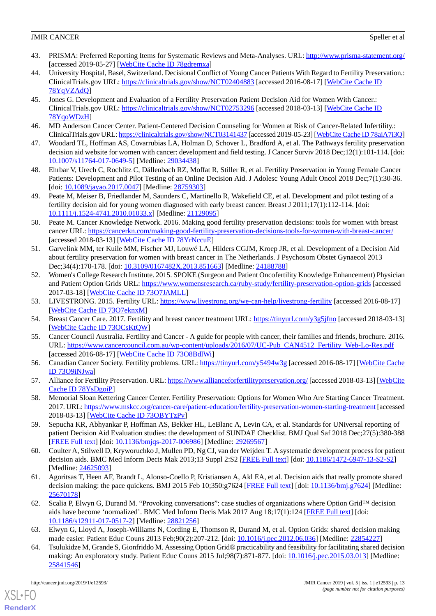- <span id="page-12-0"></span>43. PRISMA: Preferred Reporting Items for Systematic Reviews and Meta-Analyses. URL:<http://www.prisma-statement.org/> [accessed 2019-05-27] [\[WebCite Cache ID 78gdremxa\]](http://www.webcitation.org/

                                78gdremxa)
- <span id="page-12-1"></span>44. University Hospital, Basel, Switzerland. Decisional Conflict of Young Cancer Patients With Regard to Fertility Preservation.: ClinicalTrials.gov URL:<https://clinicaltrials.gov/show/NCT02404883> [accessed 2016-08-17] [\[WebCite Cache ID](http://www.webcitation.org/

                                78YqVZAdQ) [78YqVZAdQ\]](http://www.webcitation.org/

                                78YqVZAdQ)
- <span id="page-12-2"></span>45. Jones G. Development and Evaluation of a Fertility Preservation Patient Decision Aid for Women With Cancer.: ClinicalTrials.gov URL:<https://clinicaltrials.gov/show/NCT02753296> [accessed 2018-03-13] [\[WebCite Cache ID](http://www.webcitation.org/

                                78YqoWDzH) [78YqoWDzH](http://www.webcitation.org/

                                78YqoWDzH)]
- <span id="page-12-4"></span><span id="page-12-3"></span>46. MD Anderson Cancer Center. Patient-Centered Decision Counseling for Women at Risk of Cancer-Related Infertility.: ClinicalTrials.gov URL:<https://clinicaltrials.gov/show/NCT03141437> [accessed 2019-05-23] [\[WebCite Cache ID 78aiA7i3Q\]](http://www.webcitation.org/

                                78aiA7i3Q)
- <span id="page-12-5"></span>47. Woodard TL, Hoffman AS, Covarrubias LA, Holman D, Schover L, Bradford A, et al. The Pathways fertility preservation decision aid website for women with cancer: development and field testing. J Cancer Surviv 2018 Dec;12(1):101-114. [doi: [10.1007/s11764-017-0649-5\]](http://dx.doi.org/10.1007/s11764-017-0649-5) [Medline: [29034438](http://www.ncbi.nlm.nih.gov/entrez/query.fcgi?cmd=Retrieve&db=PubMed&list_uids=29034438&dopt=Abstract)]
- <span id="page-12-6"></span>48. Ehrbar V, Urech C, Rochlitz C, Dällenbach RZ, Moffat R, Stiller R, et al. Fertility Preservation in Young Female Cancer Patients: Development and Pilot Testing of an Online Decision Aid. J Adolesc Young Adult Oncol 2018 Dec;7(1):30-36. [doi: [10.1089/jayao.2017.0047\]](http://dx.doi.org/10.1089/jayao.2017.0047) [Medline: [28759303\]](http://www.ncbi.nlm.nih.gov/entrez/query.fcgi?cmd=Retrieve&db=PubMed&list_uids=28759303&dopt=Abstract)
- <span id="page-12-7"></span>49. Peate M, Meiser B, Friedlander M, Saunders C, Martinello R, Wakefield CE, et al. Development and pilot testing of a fertility decision aid for young women diagnosed with early breast cancer. Breast J 2011;17(1):112-114. [doi: [10.1111/j.1524-4741.2010.01033.x\]](http://dx.doi.org/10.1111/j.1524-4741.2010.01033.x) [Medline: [21129095\]](http://www.ncbi.nlm.nih.gov/entrez/query.fcgi?cmd=Retrieve&db=PubMed&list_uids=21129095&dopt=Abstract)
- <span id="page-12-8"></span>50. Peate M. Cancer Knowledge Network. 2016. Making good fertility preservation decisions: tools for women with breast cancer URL:<https://cancerkn.com/making-good-fertility-preservation-decisions-tools-for-women-with-breast-cancer/> [accessed 2018-03-13] [\[WebCite Cache ID 78YrNccuE\]](http://www.webcitation.org/

                                78YrNccuE)
- <span id="page-12-9"></span>51. Garvelink MM, ter Kuile MM, Fischer MJ, Louwé LA, Hilders CGJM, Kroep JR, et al. Development of a Decision Aid about fertility preservation for women with breast cancer in The Netherlands. J Psychosom Obstet Gynaecol 2013 Dec;34(4):170-178. [doi: [10.3109/0167482X.2013.851663](http://dx.doi.org/10.3109/0167482X.2013.851663)] [Medline: [24188788\]](http://www.ncbi.nlm.nih.gov/entrez/query.fcgi?cmd=Retrieve&db=PubMed&list_uids=24188788&dopt=Abstract)
- <span id="page-12-11"></span><span id="page-12-10"></span>52. Women's College Research Institute. 2015. SPOKE (Surgeon and Patient Oncofertility Knowledge Enhancement) Physician and Patient Option Grids URL: <https://www.womensresearch.ca/ruby-study/fertility-preservation-option-grids> [accessed 2017-03-18] [\[WebCite Cache ID 73O7JAMLL\]](http://www.webcitation.org/

                                73O7JAMLL)
- <span id="page-12-12"></span>53. LIVESTRONG. 2015. Fertility URL: <https://www.livestrong.org/we-can-help/livestrong-fertility> [accessed 2016-08-17] [[WebCite Cache ID 73O7eknxM](http://www.webcitation.org/

                                73O7eknxM)]
- <span id="page-12-13"></span>54. Breast Cancer Care. 2017. Fertility and breast cancer treatment URL: [https://tinyurl.com/y3g5jfno](https://www.breastcancercare.org.uk/sites/default/files/publications/pdf/bcc28_fertility_and_breast_cancer_2017_web.pdf) [accessed 2018-03-13] [[WebCite Cache ID 73OCsKtQW](http://www.webcitation.org/

                                73OCsKtQW)]
- <span id="page-12-14"></span>55. Cancer Council Australia. Fertility and Cancer - A guide for people with cancer, their families and friends, brochure. 2016. URL: [https://www.cancercouncil.com.au/wp-content/uploads/2016/07/UC-Pub\\_CAN4512\\_Fertility\\_Web-Lo-Res.pdf](https://www.cancercouncil.com.au/wp-content/uploads/2016/07/UC-Pub_CAN4512_Fertility_Web-Lo-Res.pdf) [accessed 2016-08-17] [\[WebCite Cache ID 73O8BdlWi](http://www.webcitation.org/

                                73O8BdlWi)]]
- <span id="page-12-15"></span>56. Canadian Cancer Society. Fertility problems. URL: [https://tinyurl.com/y5494w3g](http://www.cancer.ca/en/region-selector-page/?url=%2fen%2fcancer-information%2fdiagnosis-and-treatment%2fmanaging-side-effects%2ffertility-problems%2f) [accessed 2016-08-17] [[WebCite Cache](http://www.webcitation.org/

                                73O9iNJwa) [ID 73O9iNJwa](http://www.webcitation.org/

                                73O9iNJwa)]
- <span id="page-12-16"></span>57. Alliance for Fertility Preservation. URL:<https://www.allianceforfertilitypreservation.org/> [accessed 2018-03-13] [\[WebCite](http://www.webcitation.org/

                                78YsDgoiP) [Cache ID 78YsDgoiP\]](http://www.webcitation.org/

                                78YsDgoiP)
- <span id="page-12-17"></span>58. Memorial Sloan Kettering Cancer Center. Fertility Preservation: Options for Women Who Are Starting Cancer Treatment. 2017. URL:<https://www.mskcc.org/cancer-care/patient-education/fertility-preservation-women-starting-treatment> [accessed 2018-03-13] [\[WebCite Cache ID 73OBYTzPv](http://www.webcitation.org/

                                73OBYTzPv)]
- <span id="page-12-18"></span>59. Sepucha KR, Abhyankar P, Hoffman AS, Bekker HL, LeBlanc A, Levin CA, et al. Standards for UNiversal reporting of patient Decision Aid Evaluation studies: the development of SUNDAE Checklist. BMJ Qual Saf 2018 Dec;27(5):380-388 [[FREE Full text](http://qualitysafety.bmj.com/cgi/pmidlookup?view=long&pmid=29269567)] [doi: [10.1136/bmjqs-2017-006986\]](http://dx.doi.org/10.1136/bmjqs-2017-006986) [Medline: [29269567\]](http://www.ncbi.nlm.nih.gov/entrez/query.fcgi?cmd=Retrieve&db=PubMed&list_uids=29269567&dopt=Abstract)
- <span id="page-12-19"></span>60. Coulter A, Stilwell D, Kryworuchko J, Mullen PD, Ng CJ, van der Weijden T. A systematic development process for patient decision aids. BMC Med Inform Decis Mak 2013;13 Suppl 2:S2 [[FREE Full text](https://bmcmedinformdecismak.biomedcentral.com/articles/10.1186/1472-6947-13-S2-S2)] [doi: [10.1186/1472-6947-13-S2-S2](http://dx.doi.org/10.1186/1472-6947-13-S2-S2)] [Medline: [24625093](http://www.ncbi.nlm.nih.gov/entrez/query.fcgi?cmd=Retrieve&db=PubMed&list_uids=24625093&dopt=Abstract)]
- 61. Agoritsas T, Heen AF, Brandt L, Alonso-Coello P, Kristiansen A, Akl EA, et al. Decision aids that really promote shared decision making: the pace quickens. BMJ 2015 Feb 10;350:g7624 [[FREE Full text](http://europepmc.org/abstract/MED/25670178)] [doi: [10.1136/bmj.g7624\]](http://dx.doi.org/10.1136/bmj.g7624) [Medline: [25670178](http://www.ncbi.nlm.nih.gov/entrez/query.fcgi?cmd=Retrieve&db=PubMed&list_uids=25670178&dopt=Abstract)]
- <span id="page-12-20"></span>62. Scalia P, Elwyn G, Durand M. "Provoking conversations": case studies of organizations where Option Grid™ decision aids have become 'normalized'. BMC Med Inform Decis Mak 2017 Aug 18;17(1):124 [[FREE Full text](https://bmcmedinformdecismak.biomedcentral.com/articles/10.1186/s12911-017-0517-2)] [doi: [10.1186/s12911-017-0517-2\]](http://dx.doi.org/10.1186/s12911-017-0517-2) [Medline: [28821256](http://www.ncbi.nlm.nih.gov/entrez/query.fcgi?cmd=Retrieve&db=PubMed&list_uids=28821256&dopt=Abstract)]
- 63. Elwyn G, Lloyd A, Joseph-Williams N, Cording E, Thomson R, Durand M, et al. Option Grids: shared decision making made easier. Patient Educ Couns 2013 Feb;90(2):207-212. [doi: [10.1016/j.pec.2012.06.036](http://dx.doi.org/10.1016/j.pec.2012.06.036)] [Medline: [22854227\]](http://www.ncbi.nlm.nih.gov/entrez/query.fcgi?cmd=Retrieve&db=PubMed&list_uids=22854227&dopt=Abstract)
- 64. Tsulukidze M, Grande S, Gionfriddo M. Assessing Option Grid® practicability and feasibility for facilitating shared decision making: An exploratory study. Patient Educ Couns 2015 Jul;98(7):871-877. [doi: [10.1016/j.pec.2015.03.013](http://dx.doi.org/10.1016/j.pec.2015.03.013)] [Medline: [25841546](http://www.ncbi.nlm.nih.gov/entrez/query.fcgi?cmd=Retrieve&db=PubMed&list_uids=25841546&dopt=Abstract)]